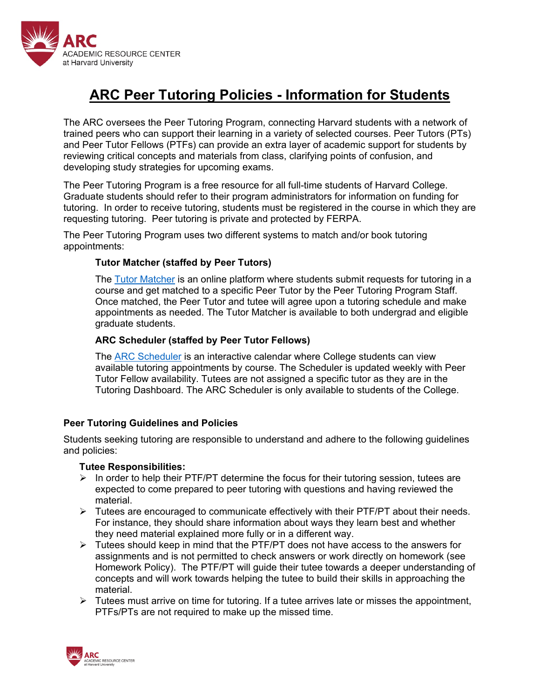

# **ARC Peer Tutoring Policies - Information for Students**

The ARC oversees the Peer Tutoring Program, connecting Harvard students with a network of trained peers who can support their learning in a variety of selected courses. Peer Tutors (PTs) and Peer Tutor Fellows (PTFs) can provide an extra layer of academic support for students by reviewing critical concepts and materials from class, clarifying points of confusion, and developing study strategies for upcoming exams.

The Peer Tutoring Program is a free resource for all full-time students of Harvard College. Graduate students should refer to their program administrators for information on funding for tutoring. In order to receive tutoring, students must be registered in the course in which they are requesting tutoring. Peer tutoring is private and protected by FERPA.

The Peer Tutoring Program uses two different systems to match and/or book tutoring appointments:

## **Tutor Matcher (staffed by Peer Tutors)**

The [Tutor Matcher](https://tutoring.fas.harvard.edu/) is an online platform where students submit requests for tutoring in a course and get matched to a specific Peer Tutor by the Peer Tutoring Program Staff. Once matched, the Peer Tutor and tutee will agree upon a tutoring schedule and make appointments as needed. The Tutor Matcher is available to both undergrad and eligible graduate students.

## **ARC Scheduler (staffed by Peer Tutor Fellows)**

The [ARC Scheduler](https://arcscheduler.fas.harvard.edu/) is an interactive calendar where College students can view available tutoring appointments by course. The Scheduler is updated weekly with Peer Tutor Fellow availability. Tutees are not assigned a specific tutor as they are in the Tutoring Dashboard. The ARC Scheduler is only available to students of the College.

# **Peer Tutoring Guidelines and Policies**

Students seeking tutoring are responsible to understand and adhere to the following guidelines and policies:

#### **Tutee Responsibilities:**

- $\triangleright$  In order to help their PTF/PT determine the focus for their tutoring session, tutees are expected to come prepared to peer tutoring with questions and having reviewed the material.
- $\triangleright$  Tutees are encouraged to communicate effectively with their PTF/PT about their needs. For instance, they should share information about ways they learn best and whether they need material explained more fully or in a different way.
- $\triangleright$  Tutees should keep in mind that the PTF/PT does not have access to the answers for assignments and is not permitted to check answers or work directly on homework (see Homework Policy). The PTF/PT will guide their tutee towards a deeper understanding of concepts and will work towards helping the tutee to build their skills in approaching the material.
- $\triangleright$  Tutees must arrive on time for tutoring. If a tutee arrives late or misses the appointment, PTFs/PTs are not required to make up the missed time.

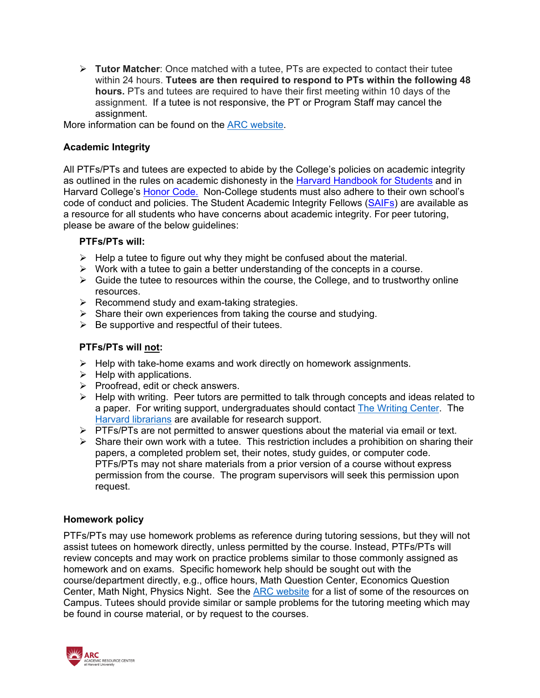**Tutor Matcher**: Once matched with a tutee, PTs are expected to contact their tutee within 24 hours. **Tutees are then required to respond to PTs within the following 48 hours.** PTs and tutees are required to have their first meeting within 10 days of the assignment. If a tutee is not responsive, the PT or Program Staff may cancel the assignment.

More information can be found on the [ARC website.](https://academicresourcecenter.harvard.edu/)

# **Academic Integrity**

All PTFs/PTs and tutees are expected to abide by the College's policies on academic integrity as outlined in the rules on academic dishonesty in the [Harvard Handbook for Students](https://handbook.fas.harvard.edu/) and in Harvard College's [Honor Code.](https://honor.fas.harvard.edu/honor-code) Non-College students must also adhere to their own school's code of conduct and policies. The Student Academic Integrity Fellows [\(SAIFs\)](https://honorcouncil.fas.harvard.edu/saifs) are available as a resource for all students who have concerns about academic integrity. For peer tutoring, please be aware of the below guidelines:

# **PTFs/PTs will:**

- $\triangleright$  Help a tutee to figure out why they might be confused about the material.
- $\triangleright$  Work with a tutee to gain a better understanding of the concepts in a course.
- $\triangleright$  Guide the tutee to resources within the course, the College, and to trustworthy online resources.
- $\triangleright$  Recommend study and exam-taking strategies.
- $\triangleright$  Share their own experiences from taking the course and studying.
- $\triangleright$  Be supportive and respectful of their tutees.

# **PTFs/PTs will not:**

- $\triangleright$  Help with take-home exams and work directly on homework assignments.
- $\triangleright$  Help with applications.
- $\triangleright$  Proofread, edit or check answers.
- $\triangleright$  Help with writing. Peer tutors are permitted to talk through concepts and ideas related to a paper. For writing support, undergraduates should contact [The Writing Center.](https://writingcenter.fas.harvard.edu/) The [Harvard librarians](https://library.harvard.edu/how-to/get-research-help) are available for research support.
- $\triangleright$  PTFs/PTs are not permitted to answer questions about the material via email or text.
- $\triangleright$  Share their own work with a tutee. This restriction includes a prohibition on sharing their papers, a completed problem set, their notes, study guides, or computer code. PTFs/PTs may not share materials from a prior version of a course without express permission from the course. The program supervisors will seek this permission upon request.

# **Homework policy**

PTFs/PTs may use homework problems as reference during tutoring sessions, but they will not assist tutees on homework directly, unless permitted by the course. Instead, PTFs/PTs will review concepts and may work on practice problems similar to those commonly assigned as homework and on exams. Specific homework help should be sought out with the course/department directly, e.g., office hours, Math Question Center, Economics Question Center, Math Night, Physics Night. See the **ARC website** for a list of some of the resources on Campus. Tutees should provide similar or sample problems for the tutoring meeting which may be found in course material, or by request to the courses.